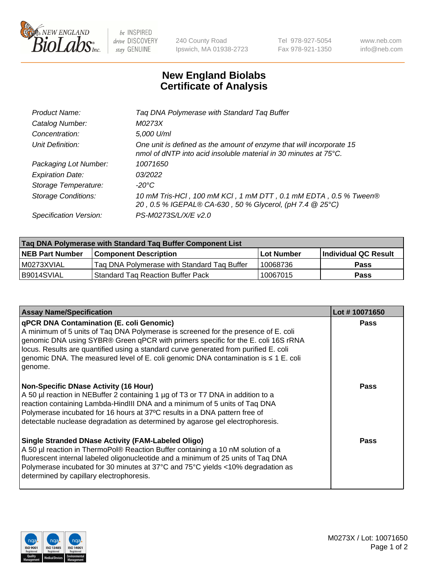

 $be$  INSPIRED drive DISCOVERY stay GENUINE

240 County Road Ipswich, MA 01938-2723 Tel 978-927-5054 Fax 978-921-1350 www.neb.com info@neb.com

## **New England Biolabs Certificate of Analysis**

| Tag DNA Polymerase with Standard Tag Buffer                                                                                              |
|------------------------------------------------------------------------------------------------------------------------------------------|
| M0273X                                                                                                                                   |
| 5,000 U/ml                                                                                                                               |
| One unit is defined as the amount of enzyme that will incorporate 15<br>nmol of dNTP into acid insoluble material in 30 minutes at 75°C. |
| 10071650                                                                                                                                 |
| 03/2022                                                                                                                                  |
| $-20^{\circ}$ C                                                                                                                          |
| 10 mM Tris-HCl, 100 mM KCl, 1 mM DTT, 0.1 mM EDTA, 0.5 % Tween®<br>20, 0.5 % IGEPAL® CA-630, 50 % Glycerol, (pH 7.4 @ 25°C)              |
| PS-M0273S/L/X/E v2.0                                                                                                                     |
|                                                                                                                                          |

| Tag DNA Polymerase with Standard Tag Buffer Component List |                                             |                   |                      |  |  |
|------------------------------------------------------------|---------------------------------------------|-------------------|----------------------|--|--|
| <b>NEB Part Number</b>                                     | Component Description_                      | <b>Lot Number</b> | Individual QC Result |  |  |
| M0273XVIAL                                                 | Tag DNA Polymerase with Standard Tag Buffer | 10068736          | Pass                 |  |  |
| B9014SVIAL                                                 | <b>Standard Tag Reaction Buffer Pack</b>    | 10067015          | <b>Pass</b>          |  |  |

| <b>Assay Name/Specification</b>                                                                                                                                                                                                                                                                                                                                                                                      | Lot #10071650 |
|----------------------------------------------------------------------------------------------------------------------------------------------------------------------------------------------------------------------------------------------------------------------------------------------------------------------------------------------------------------------------------------------------------------------|---------------|
| <b>qPCR DNA Contamination (E. coli Genomic)</b><br>A minimum of 5 units of Taq DNA Polymerase is screened for the presence of E. coli<br>genomic DNA using SYBR® Green qPCR with primers specific for the E. coli 16S rRNA<br>locus. Results are quantified using a standard curve generated from purified E. coli<br>genomic DNA. The measured level of E. coli genomic DNA contamination is ≤ 1 E. coli<br>genome. | <b>Pass</b>   |
| <b>Non-Specific DNase Activity (16 Hour)</b><br>A 50 µl reaction in NEBuffer 2 containing 1 µg of T3 or T7 DNA in addition to a<br>reaction containing Lambda-HindIII DNA and a minimum of 5 units of Taq DNA<br>Polymerase incubated for 16 hours at 37°C results in a DNA pattern free of<br>detectable nuclease degradation as determined by agarose gel electrophoresis.                                         | Pass          |
| Single Stranded DNase Activity (FAM-Labeled Oligo)<br>A 50 µl reaction in ThermoPol® Reaction Buffer containing a 10 nM solution of a<br>fluorescent internal labeled oligonucleotide and a minimum of 25 units of Taq DNA<br>Polymerase incubated for 30 minutes at 37°C and 75°C yields <10% degradation as<br>determined by capillary electrophoresis.                                                            | Pass          |